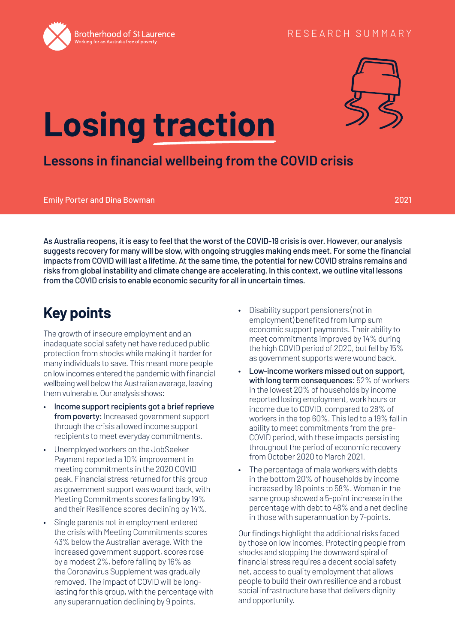



# **Losing traction**

## **Lessons in financial wellbeing from the COVID crisis**

Emily Porter and Dina Bowman 2021

As Australia reopens, it is easy to feel that the worst of the COVID-19 crisis is over. However, our analysis suggests recovery for many will be slow, with ongoing struggles making ends meet. For some the financial impacts from COVID will last a lifetime. At the same time, the potential for new COVID strains remains and risks from global instability and climate change are accelerating. In this context, we outline vital lessons from the COVID crisis to enable economic security for all in uncertain times.

# **Key points**

The growth of insecure employment and an inadequate social safety net have reduced public protection from shocks while making it harder for many individuals to save. This meant more people on low incomes entered the pandemic with financial wellbeing well below the Australian average, leaving them vulnerable. Our analysis shows:

- Income support recipients got a brief reprieve from poverty: Increased government support through the crisis allowed income support recipients to meet everyday commitments.
- Unemployed workers on the JobSeeker Payment reported a 10% improvement in meeting commitments in the 2020 COVID peak. Financial stress returned for this group as government support was wound back, with Meeting Commitments scores falling by 19% and their Resilience scores declining by 14%.
- Single parents not in employment entered the crisis with Meeting Commitments scores 43% below the Australian average. With the increased government support, scores rose by a modest 2%, before falling by 16% as the Coronavirus Supplement was gradually removed. The impact of COVID will be longlasting for this group, with the percentage with any superannuation declining by 9 points.
- Disability support pensioners (not in employment) benefited from lump sum economic support payments. Their ability to meet commitments improved by 14% during the high COVID period of 2020, but fell by 15% as government supports were wound back.
- Low-income workers missed out on support, with long term consequences: 52% of workers in the lowest 20% of households by income reported losing employment, work hours or income due to COVID, compared to 28% of workers in the top 60%. This led to a 19% fall in ability to meet commitments from the pre-COVID period, with these impacts persisting throughout the period of economic recovery from October 2020 to March 2021.
- The percentage of male workers with debts in the bottom 20% of households by income increased by 18 points to 58%. Women in the same group showed a 5-point increase in the percentage with debt to 48% and a net decline in those with superannuation by 7-points.

Our findings highlight the additional risks faced by those on low incomes. Protecting people from shocks and stopping the downward spiral of financial stress requires a decent social safety net, access to quality employment that allows people to build their own resilience and a robust social infrastructure base that delivers dignity and opportunity.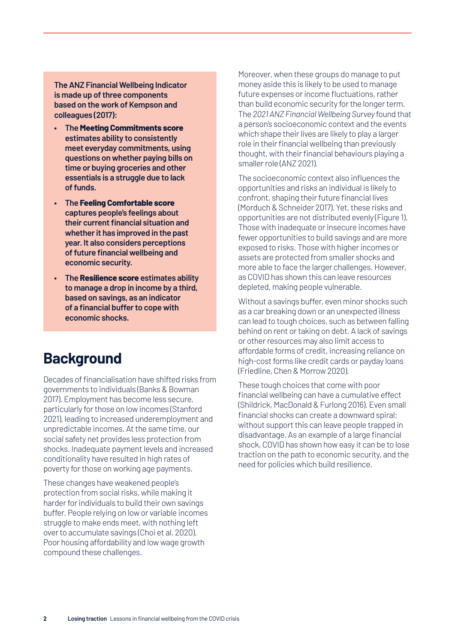**The ANZ Financial Wellbeing Indicator is made up of three components based on the work of Kempson and colleagues (2017):**

- **• The Meeting Commitments score estimates ability to consistently meet everyday commitments, using questions on whether paying bills on time or buying groceries and other essentials is a struggle due to lack of funds.**
- **• The Feeling Comfortable score captures people's feelings about their current financial situation and whether it has improved in the past year. It also considers perceptions of future financial wellbeing and economic security.**
- **• The Resilience score estimates ability to manage a drop in income by a third, based on savings, as an indicator of a financial buffer to cope with economic shocks.**

## **Background**

Decades of financialisation have shifted risks from governments to individuals (Banks & Bowman 2017). Employment has become less secure, particularly for those on low incomes (Stanford 2021), leading to increased underemployment and unpredictable incomes. At the same time, our social safety net provides less protection from shocks. Inadequate payment levels and increased conditionality have resulted in high rates of poverty for those on working age payments.

These changes have weakened people's protection from social risks, while making it harder for individuals to build their own savings buffer. People relying on low or variable incomes struggle to make ends meet, with nothing left over to accumulate savings (Choi et al. 2020). Poor housing affordability and low wage growth compound these challenges.

Moreover, when these groups do manage to put money aside this is likely to be used to manage future expenses or income fluctuations, rather than build economic security for the longer term. The *2021 ANZ Financial Wellbeing Survey* found that a person's socioeconomic context and the events which shape their lives are likely to play a larger role in their financial wellbeing than previously thought, with their financial behaviours playing a smaller role (ANZ 2021).

The socioeconomic context also influences the opportunities and risks an individual is likely to confront, shaping their future financial lives (Morduch & Schneider 2017). Yet, these risks and opportunities are not distributed evenly (Figure 1). Those with inadequate or insecure incomes have fewer opportunities to build savings and are more exposed to risks. Those with higher incomes or assets are protected from smaller shocks and more able to face the larger challenges. However, as COVID has shown this can leave resources depleted, making people vulnerable.

Without a savings buffer, even minor shocks such as a car breaking down or an unexpected illness can lead to tough choices, such as between falling behind on rent or taking on debt. A lack of savings or other resources may also limit access to affordable forms of credit, increasing reliance on high-cost forms like credit cards or payday loans (Friedline, Chen & Morrow 2020).

These tough choices that come with poor financial wellbeing can have a cumulative effect (Shildrick, MacDonald & Furlong 2016). Even small financial shocks can create a downward spiral; without support this can leave people trapped in disadvantage. As an example of a large financial shock, COVID has shown how easy it can be to lose traction on the path to economic security, and the need for policies which build resilience.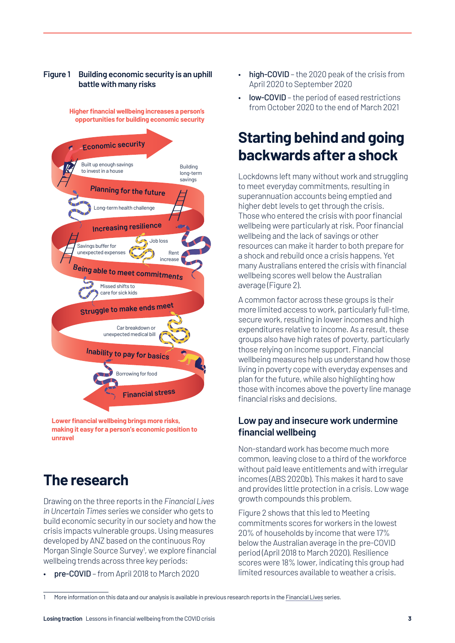#### **Figure 1 Building economic security is an uphill battle with many risks**

**Higher financial wellbeing increases a person's opportunities for building economic security**



**Lower financial wellbeing brings more risks, making it easy for a person's economic position to unravel**

# **The research**

Drawing on the three reports in the *Financial Lives in Uncertain Times* series we consider who gets to build economic security in our society and how the crisis impacts vulnerable groups. Using measures developed by ANZ based on the continuous Roy Morgan Single Source Survey<sup>1</sup>, we explore financial wellbeing trends across three key periods:

• pre-COVID – from April 2018 to March 2020

- high-COVID the 2020 peak of the crisis from April 2020 to September 2020
- **low-COVID** the period of eased restrictions from October 2020 to the end of March 2021

# **Starting behind and going backwards after a shock**

Lockdowns left many without work and struggling to meet everyday commitments, resulting in superannuation accounts being emptied and higher debt levels to get through the crisis. Those who entered the crisis with poor financial wellbeing were particularly at risk. Poor financial wellbeing and the lack of savings or other resources can make it harder to both prepare for a shock and rebuild once a crisis happens. Yet many Australians entered the crisis with financial wellbeing scores well below the Australian average ([Figure 2\)](#page-3-0).

A common factor across these groups is their more limited access to work, particularly full-time, secure work, resulting in lower incomes and high expenditures relative to income. As a result, these groups also have high rates of poverty, particularly those relying on income support. Financial wellbeing measures help us understand how those living in poverty cope with everyday expenses and plan for the future, while also highlighting how those with incomes above the poverty line manage financial risks and decisions.

#### **Low pay and insecure work undermine financial wellbeing**

Non-standard work has become much more common, leaving close to a third of the workforce without paid leave entitlements and with irregular incomes (ABS 2020b). This makes it hard to save and provides little protection in a crisis. Low wage growth compounds this problem.

[Figure 2](#page-3-0) shows that this led to Meeting commitments scores for workers in the lowest 20% of households by income that were 17% below the Australian average in the pre-COVID period (April 2018 to March 2020). Resilience scores were 18% lower, indicating this group had limited resources available to weather a crisis.

<sup>1</sup> More information on this data and our analysis is available in previous research reports in the [Financial Lives](https://www.bsl.org.au/research/our-research-and-policy-work/projects/financial-lives/) series.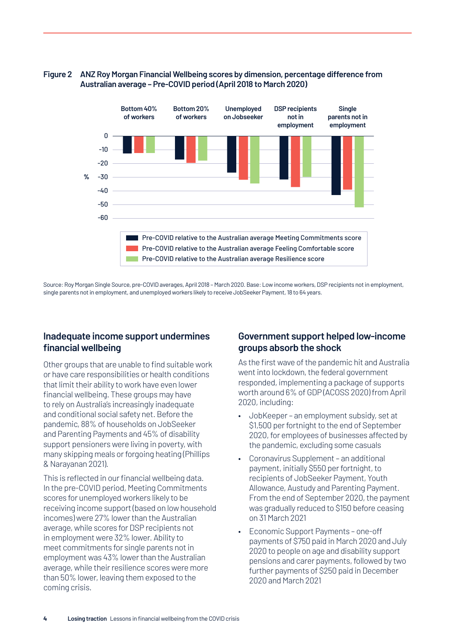#### <span id="page-3-0"></span>**Figure 2 ANZ Roy Morgan Financial Wellbeing scores by dimension, percentage difference from Australian average – Pre-COVID period (April 2018 to March 2020)**



Source: Roy Morgan Single Source, pre-COVID averages, April 2018 – March 2020. Base: Low income workers, DSP recipients not in employment, single parents not in employment, and unemployed workers likely to receive JobSeeker Payment, 18 to 64 years.

#### **Inadequate income support undermines financial wellbeing**

Other groups that are unable to find suitable work or have care responsibilities or health conditions that limit their ability to work have even lower financial wellbeing. These groups may have to rely on Australia's increasingly inadequate and conditional social safety net. Before the pandemic, 88% of households on JobSeeker and Parenting Payments and 45% of disability support pensioners were living in poverty, with many skipping meals or forgoing heating (Phillips & Narayanan 2021).

This is reflected in our financial wellbeing data. In the pre-COVID period, Meeting Commitments scores for unemployed workers likely to be receiving income support (based on low household incomes) were 27% lower than the Australian average, while scores for DSP recipients not in employment were 32% lower. Ability to meet commitments for single parents not in employment was 43% lower than the Australian average, while their resilience scores were more than 50% lower, leaving them exposed to the coming crisis.

#### **Government support helped low-income groups absorb the shock**

As the first wave of the pandemic hit and Australia went into lockdown, the federal government responded, implementing a package of supports worth around 6% of GDP (ACOSS 2020) from April 2020, including:

- JobKeeper an employment subsidy, set at \$1,500 per fortnight to the end of September 2020, for employees of businesses affected by the pandemic, excluding some casuals
- Coronavirus Supplement an additional payment, initially \$550 per fortnight, to recipients of JobSeeker Payment, Youth Allowance, Austudy and Parenting Payment. From the end of September 2020, the payment was gradually reduced to \$150 before ceasing on 31 March 2021
- Economic Support Payments one-off payments of \$750 paid in March 2020 and July 2020 to people on age and disability support pensions and carer payments, followed by two further payments of \$250 paid in December 2020 and March 2021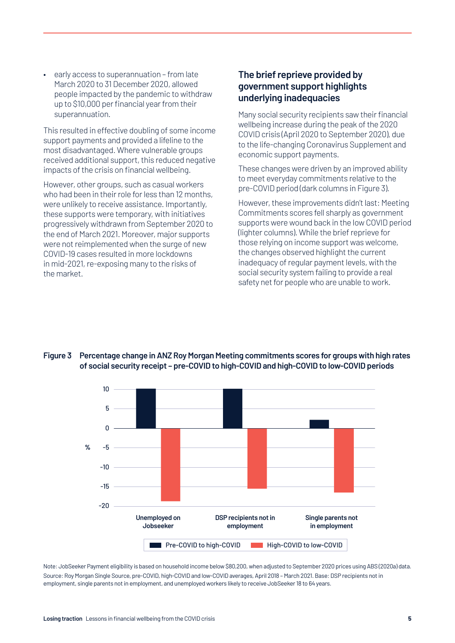• early access to superannuation – from late March 2020 to 31 December 2020, allowed people impacted by the pandemic to withdraw up to \$10,000 per financial year from their superannuation.

This resulted in effective doubling of some income support payments and provided a lifeline to the most disadvantaged. Where vulnerable groups received additional support, this reduced negative impacts of the crisis on financial wellbeing.

However, other groups, such as casual workers who had been in their role for less than 12 months, were unlikely to receive assistance. Importantly, these supports were temporary, with initiatives progressively withdrawn from September 2020 to the end of March 2021. Moreover, major supports were not reimplemented when the surge of new COVID-19 cases resulted in more lockdowns in mid-2021, re-exposing many to the risks of the market.

#### **The brief reprieve provided by government support highlights underlying inadequacies**

Many social security recipients saw their financial wellbeing increase during the peak of the 2020 COVID crisis (April 2020 to September 2020), due to the life-changing Coronavirus Supplement and economic support payments.

These changes were driven by an improved ability to meet everyday commitments relative to the pre-COVID period (dark columns in [Figure 3](#page-4-0)).

However, these improvements didn't last: Meeting Commitments scores fell sharply as government supports were wound back in the low COVID period (lighter columns). While the brief reprieve for those relying on income support was welcome, the changes observed highlight the current inadequacy of regular payment levels, with the social security system failing to provide a real safety net for people who are unable to work.

#### <span id="page-4-0"></span>**Figure 3 Percentage change in ANZ Roy Morgan Meeting commitments scores for groups with high rates of social security receipt – pre-COVID to high-COVID and high-COVID to low-COVID periods**



Note: JobSeeker Payment eligibility is based on household income below \$80,200, when adjusted to September 2020 prices using ABS (2020a) data. Source: Roy Morgan Single Source, pre-COVID, high-COVID and low-COVID averages, April 2018 – March 2021. Base: DSP recipients not in employment, single parents not in employment, and unemployed workers likely to receive JobSeeker 18 to 64 years.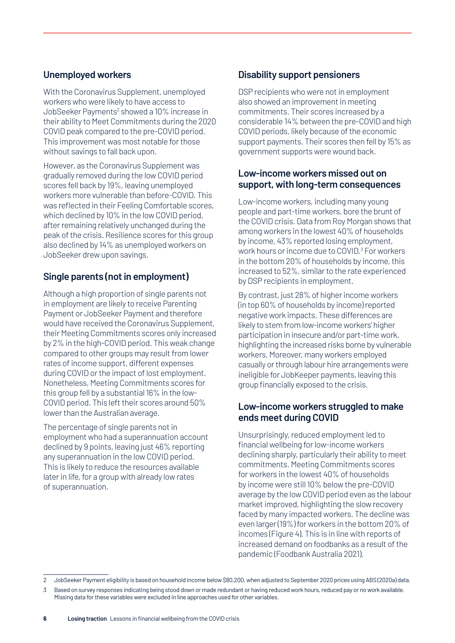#### **Unemployed workers**

With the Coronavirus Supplement, unemployed workers who were likely to have access to JobSeeker Payments<sup>2</sup> showed a 10% increase in their ability to Meet Commitments during the 2020 COVID peak compared to the pre-COVID period. This improvement was most notable for those without savings to fall back upon.

However, as the Coronavirus Supplement was gradually removed during the low COVID period scores fell back by 19%, leaving unemployed workers more vulnerable than before-COVID. This was reflected in their Feeling Comfortable scores, which declined by 10% in the low COVID period, after remaining relatively unchanged during the peak of the crisis. Resilience scores for this group also declined by 14% as unemployed workers on JobSeeker drew upon savings.

## **Single parents (not in employment)**

Although a high proportion of single parents not in employment are likely to receive Parenting Payment or JobSeeker Payment and therefore would have received the Coronavirus Supplement, their Meeting Commitments scores only increased by 2% in the high-COVID period. This weak change compared to other groups may result from lower rates of income support, different expenses during COVID or the impact of lost employment. Nonetheless, Meeting Commitments scores for this group fell by a substantial 16% in the low-COVID period. This left their scores around 50% lower than the Australian average.

The percentage of single parents not in employment who had a superannuation account declined by 9 points, leaving just 46% reporting any superannuation in the low COVID period. This is likely to reduce the resources available later in life, for a group with already low rates of superannuation.

## **Disability support pensioners**

DSP recipients who were not in employment also showed an improvement in meeting commitments. Their scores increased by a considerable 14% between the pre-COVID and high COVID periods, likely because of the economic support payments. Their scores then fell by 15% as government supports were wound back.

#### **Low-income workers missed out on support, with long-term consequences**

Low-income workers, including many young people and part-time workers, bore the brunt of the COVID crisis. Data from Roy Morgan shows that among workers in the lowest 40% of households by income, 43% reported losing employment, work hours or income due to COVID.<sup>3</sup> For workers in the bottom 20% of households by income, this increased to 52%, similar to the rate experienced by DSP recipients in employment.

By contrast, just 28% of higher income workers (in top 60% of households by income) reported negative work impacts. These differences are likely to stem from low-income workers' higher participation in insecure and/or part-time work, highlighting the increased risks borne by vulnerable workers. Moreover, many workers employed casually or through labour hire arrangements were ineligible for JobKeeper payments, leaving this group financially exposed to the crisis.

#### **Low-income workers struggled to make ends meet during COVID**

Unsurprisingly, reduced employment led to financial wellbeing for low-income workers declining sharply, particularly their ability to meet commitments. Meeting Commitments scores for workers in the lowest 40% of households by income were still 10% below the pre-COVID average by the low COVID period even as the labour market improved, highlighting the slow recovery faced by many impacted workers. The decline was even larger (19%) for workers in the bottom 20% of incomes (Figure 4). This is in line with reports of increased demand on foodbanks as a result of the pandemic (Foodbank Australia 2021).

<sup>2</sup> JobSeeker Payment eligibility is based on household income below \$80,200, when adjusted to September 2020 prices using ABS (2020a) data.

<sup>3</sup> Based on survey responses indicating being stood down or made redundant or having reduced work hours, reduced pay or no work available. Missing data for these variables were excluded in line approaches used for other variables.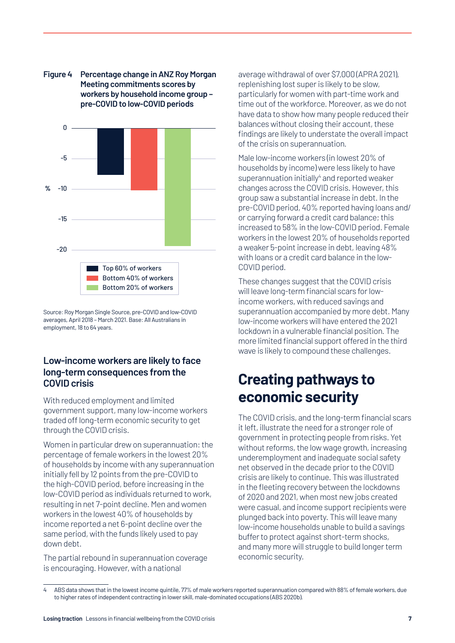

**Figure 4 Percentage change in ANZ Roy Morgan Meeting commitments scores by workers by household income group – pre-COVID to low-COVID periods**

Source: Roy Morgan Single Source, pre-COVID and low-COVID averages, April 2018 – March 2021. Base: All Australians in employment, 18 to 64 years.

#### **Low-income workers are likely to face long-term consequences from the COVID crisis**

With reduced employment and limited government support, many low-income workers traded off long-term economic security to get through the COVID crisis.

Women in particular drew on superannuation: the percentage of female workers in the lowest 20% of households by income with any superannuation initially fell by 12 points from the pre-COVID to the high-COVID period, before increasing in the low-COVID period as individuals returned to work, resulting in net 7-point decline. Men and women workers in the lowest 40% of households by income reported a net 6-point decline over the same period, with the funds likely used to pay down debt.

The partial rebound in superannuation coverage is encouraging. However, with a national

average withdrawal of over \$7,000 (APRA 2021), replenishing lost super is likely to be slow, particularly for women with part-time work and time out of the workforce. Moreover, as we do not have data to show how many people reduced their balances without closing their account, these findings are likely to understate the overall impact of the crisis on superannuation.

Male low-income workers (in lowest 20% of households by income) were less likely to have superannuation initially<sup>4</sup> and reported weaker changes across the COVID crisis. However, this group saw a substantial increase in debt. In the pre-COVID period, 40% reported having loans and/ or carrying forward a credit card balance; this increased to 58% in the low-COVID period. Female workers in the lowest 20% of households reported a weaker 5-point increase in debt, leaving 48% with loans or a credit card balance in the low-COVID period.

These changes suggest that the COVID crisis will leave long-term financial scars for lowincome workers, with reduced savings and superannuation accompanied by more debt. Many low-income workers will have entered the 2021 lockdown in a vulnerable financial position. The more limited financial support offered in the third wave is likely to compound these challenges.

# **Creating pathways to economic security**

The COVID crisis, and the long-term financial scars it left, illustrate the need for a stronger role of government in protecting people from risks. Yet without reforms, the low wage growth, increasing underemployment and inadequate social safety net observed in the decade prior to the COVID crisis are likely to continue. This was illustrated in the fleeting recovery between the lockdowns of 2020 and 2021, when most new jobs created were casual, and income support recipients were plunged back into poverty. This will leave many low-income households unable to build a savings buffer to protect against short-term shocks, and many more will struggle to build longer term economic security.

<sup>4</sup> ABS data shows that in the lowest income quintile, 77% of male workers reported superannuation compared with 88% of female workers, due to higher rates of independent contracting in lower skill, male-dominated occupations (ABS 2020b).